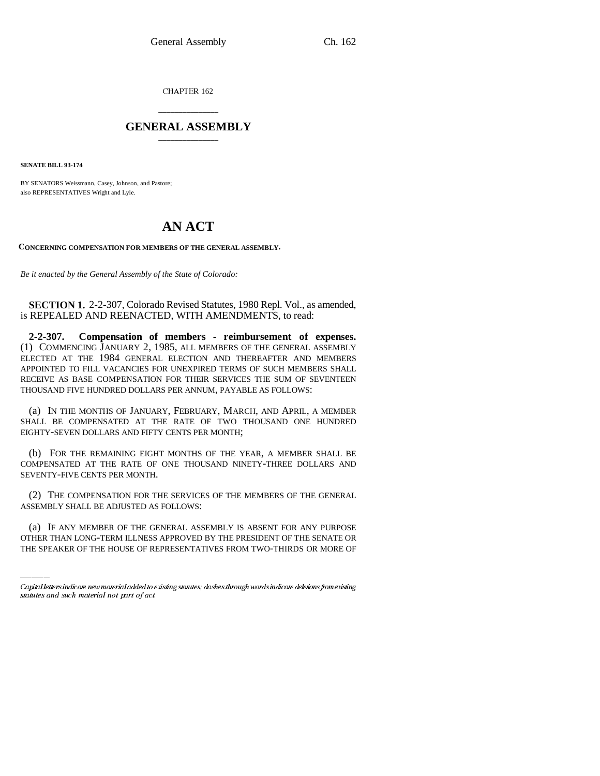CHAPTER 162

## \_\_\_\_\_\_\_\_\_\_\_\_\_\_\_ **GENERAL ASSEMBLY** \_\_\_\_\_\_\_\_\_\_\_\_\_\_\_

**SENATE BILL 93-174**

BY SENATORS Weissmann, Casey, Johnson, and Pastore; also REPRESENTATIVES Wright and Lyle.

# **AN ACT**

**CONCERNING COMPENSATION FOR MEMBERS OF THE GENERAL ASSEMBLY.**

*Be it enacted by the General Assembly of the State of Colorado:*

**SECTION 1.** 2-2-307, Colorado Revised Statutes, 1980 Repl. Vol., as amended, is REPEALED AND REENACTED, WITH AMENDMENTS, to read:

**2-2-307. Compensation of members - reimbursement of expenses.** (1) COMMENCING JANUARY 2, 1985, ALL MEMBERS OF THE GENERAL ASSEMBLY ELECTED AT THE 1984 GENERAL ELECTION AND THEREAFTER AND MEMBERS APPOINTED TO FILL VACANCIES FOR UNEXPIRED TERMS OF SUCH MEMBERS SHALL RECEIVE AS BASE COMPENSATION FOR THEIR SERVICES THE SUM OF SEVENTEEN THOUSAND FIVE HUNDRED DOLLARS PER ANNUM, PAYABLE AS FOLLOWS:

(a) IN THE MONTHS OF JANUARY, FEBRUARY, MARCH, AND APRIL, A MEMBER SHALL BE COMPENSATED AT THE RATE OF TWO THOUSAND ONE HUNDRED EIGHTY-SEVEN DOLLARS AND FIFTY CENTS PER MONTH;

(b) FOR THE REMAINING EIGHT MONTHS OF THE YEAR, A MEMBER SHALL BE COMPENSATED AT THE RATE OF ONE THOUSAND NINETY-THREE DOLLARS AND SEVENTY-FIVE CENTS PER MONTH.

ASSEMBLY SHALL BE ADJUSTED AS FOLLOWS: (2) THE COMPENSATION FOR THE SERVICES OF THE MEMBERS OF THE GENERAL

(a) IF ANY MEMBER OF THE GENERAL ASSEMBLY IS ABSENT FOR ANY PURPOSE OTHER THAN LONG-TERM ILLNESS APPROVED BY THE PRESIDENT OF THE SENATE OR THE SPEAKER OF THE HOUSE OF REPRESENTATIVES FROM TWO-THIRDS OR MORE OF

Capital letters indicate new material added to existing statutes; dashes through words indicate deletions from existing statutes and such material not part of act.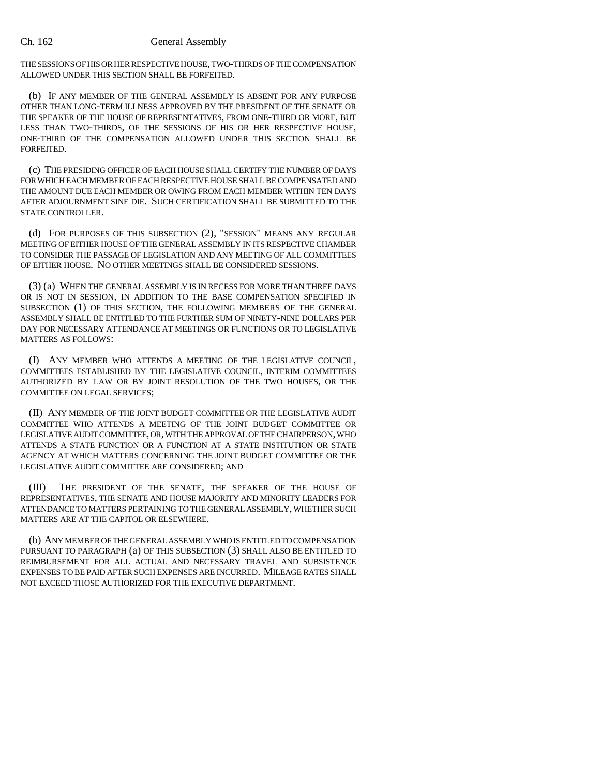#### Ch. 162 General Assembly

THE SESSIONS OF HIS OR HER RESPECTIVE HOUSE, TWO-THIRDS OF THE COMPENSATION ALLOWED UNDER THIS SECTION SHALL BE FORFEITED.

(b) IF ANY MEMBER OF THE GENERAL ASSEMBLY IS ABSENT FOR ANY PURPOSE OTHER THAN LONG-TERM ILLNESS APPROVED BY THE PRESIDENT OF THE SENATE OR THE SPEAKER OF THE HOUSE OF REPRESENTATIVES, FROM ONE-THIRD OR MORE, BUT LESS THAN TWO-THIRDS, OF THE SESSIONS OF HIS OR HER RESPECTIVE HOUSE, ONE-THIRD OF THE COMPENSATION ALLOWED UNDER THIS SECTION SHALL BE FORFEITED.

(c) THE PRESIDING OFFICER OF EACH HOUSE SHALL CERTIFY THE NUMBER OF DAYS FOR WHICH EACH MEMBER OF EACH RESPECTIVE HOUSE SHALL BE COMPENSATED AND THE AMOUNT DUE EACH MEMBER OR OWING FROM EACH MEMBER WITHIN TEN DAYS AFTER ADJOURNMENT SINE DIE. SUCH CERTIFICATION SHALL BE SUBMITTED TO THE STATE CONTROLLER.

(d) FOR PURPOSES OF THIS SUBSECTION (2), "SESSION" MEANS ANY REGULAR MEETING OF EITHER HOUSE OF THE GENERAL ASSEMBLY IN ITS RESPECTIVE CHAMBER TO CONSIDER THE PASSAGE OF LEGISLATION AND ANY MEETING OF ALL COMMITTEES OF EITHER HOUSE. NO OTHER MEETINGS SHALL BE CONSIDERED SESSIONS.

(3) (a) WHEN THE GENERAL ASSEMBLY IS IN RECESS FOR MORE THAN THREE DAYS OR IS NOT IN SESSION, IN ADDITION TO THE BASE COMPENSATION SPECIFIED IN SUBSECTION (1) OF THIS SECTION, THE FOLLOWING MEMBERS OF THE GENERAL ASSEMBLY SHALL BE ENTITLED TO THE FURTHER SUM OF NINETY-NINE DOLLARS PER DAY FOR NECESSARY ATTENDANCE AT MEETINGS OR FUNCTIONS OR TO LEGISLATIVE MATTERS AS FOLLOWS:

(I) ANY MEMBER WHO ATTENDS A MEETING OF THE LEGISLATIVE COUNCIL, COMMITTEES ESTABLISHED BY THE LEGISLATIVE COUNCIL, INTERIM COMMITTEES AUTHORIZED BY LAW OR BY JOINT RESOLUTION OF THE TWO HOUSES, OR THE COMMITTEE ON LEGAL SERVICES;

(II) ANY MEMBER OF THE JOINT BUDGET COMMITTEE OR THE LEGISLATIVE AUDIT COMMITTEE WHO ATTENDS A MEETING OF THE JOINT BUDGET COMMITTEE OR LEGISLATIVE AUDIT COMMITTEE, OR, WITH THE APPROVAL OF THE CHAIRPERSON, WHO ATTENDS A STATE FUNCTION OR A FUNCTION AT A STATE INSTITUTION OR STATE AGENCY AT WHICH MATTERS CONCERNING THE JOINT BUDGET COMMITTEE OR THE LEGISLATIVE AUDIT COMMITTEE ARE CONSIDERED; AND

(III) THE PRESIDENT OF THE SENATE, THE SPEAKER OF THE HOUSE OF REPRESENTATIVES, THE SENATE AND HOUSE MAJORITY AND MINORITY LEADERS FOR ATTENDANCE TO MATTERS PERTAINING TO THE GENERAL ASSEMBLY, WHETHER SUCH MATTERS ARE AT THE CAPITOL OR ELSEWHERE.

(b) ANY MEMBER OF THE GENERAL ASSEMBLY WHO IS ENTITLED TO COMPENSATION PURSUANT TO PARAGRAPH (a) OF THIS SUBSECTION (3) SHALL ALSO BE ENTITLED TO REIMBURSEMENT FOR ALL ACTUAL AND NECESSARY TRAVEL AND SUBSISTENCE EXPENSES TO BE PAID AFTER SUCH EXPENSES ARE INCURRED. MILEAGE RATES SHALL NOT EXCEED THOSE AUTHORIZED FOR THE EXECUTIVE DEPARTMENT.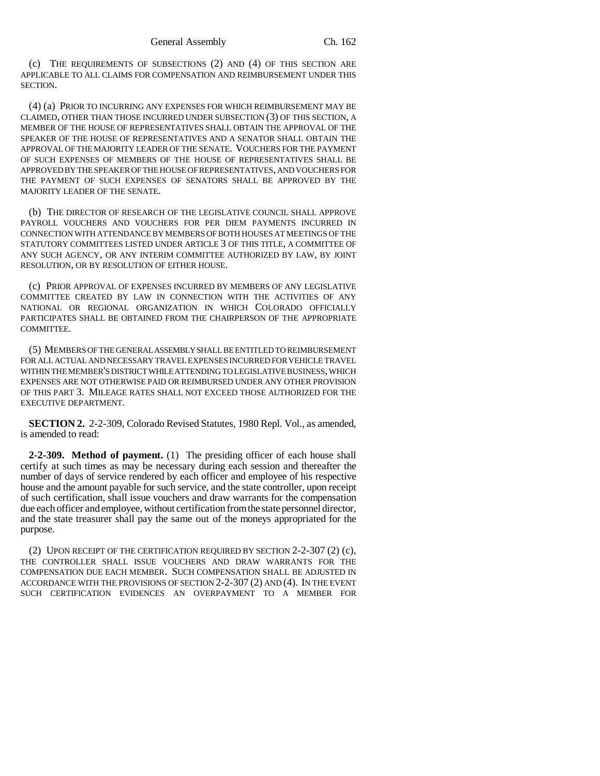(c) THE REQUIREMENTS OF SUBSECTIONS (2) AND (4) OF THIS SECTION ARE APPLICABLE TO ALL CLAIMS FOR COMPENSATION AND REIMBURSEMENT UNDER THIS SECTION.

(4) (a) PRIOR TO INCURRING ANY EXPENSES FOR WHICH REIMBURSEMENT MAY BE CLAIMED, OTHER THAN THOSE INCURRED UNDER SUBSECTION (3) OF THIS SECTION, A MEMBER OF THE HOUSE OF REPRESENTATIVES SHALL OBTAIN THE APPROVAL OF THE SPEAKER OF THE HOUSE OF REPRESENTATIVES AND A SENATOR SHALL OBTAIN THE APPROVAL OF THE MAJORITY LEADER OF THE SENATE. VOUCHERS FOR THE PAYMENT OF SUCH EXPENSES OF MEMBERS OF THE HOUSE OF REPRESENTATIVES SHALL BE APPROVED BY THE SPEAKER OF THE HOUSE OF REPRESENTATIVES, AND VOUCHERS FOR THE PAYMENT OF SUCH EXPENSES OF SENATORS SHALL BE APPROVED BY THE MAJORITY LEADER OF THE SENATE.

(b) THE DIRECTOR OF RESEARCH OF THE LEGISLATIVE COUNCIL SHALL APPROVE PAYROLL VOUCHERS AND VOUCHERS FOR PER DIEM PAYMENTS INCURRED IN CONNECTION WITH ATTENDANCE BY MEMBERS OF BOTH HOUSES AT MEETINGS OF THE STATUTORY COMMITTEES LISTED UNDER ARTICLE 3 OF THIS TITLE, A COMMITTEE OF ANY SUCH AGENCY, OR ANY INTERIM COMMITTEE AUTHORIZED BY LAW, BY JOINT RESOLUTION, OR BY RESOLUTION OF EITHER HOUSE.

(c) PRIOR APPROVAL OF EXPENSES INCURRED BY MEMBERS OF ANY LEGISLATIVE COMMITTEE CREATED BY LAW IN CONNECTION WITH THE ACTIVITIES OF ANY NATIONAL OR REGIONAL ORGANIZATION IN WHICH COLORADO OFFICIALLY PARTICIPATES SHALL BE OBTAINED FROM THE CHAIRPERSON OF THE APPROPRIATE COMMITTEE.

(5) MEMBERS OF THE GENERAL ASSEMBLY SHALL BE ENTITLED TO REIMBURSEMENT FOR ALL ACTUAL AND NECESSARY TRAVEL EXPENSES INCURRED FOR VEHICLE TRAVEL WITHIN THE MEMBER'S DISTRICT WHILE ATTENDING TO LEGISLATIVE BUSINESS, WHICH EXPENSES ARE NOT OTHERWISE PAID OR REIMBURSED UNDER ANY OTHER PROVISION OF THIS PART 3. MILEAGE RATES SHALL NOT EXCEED THOSE AUTHORIZED FOR THE EXECUTIVE DEPARTMENT.

**SECTION 2.** 2-2-309, Colorado Revised Statutes, 1980 Repl. Vol., as amended, is amended to read:

**2-2-309. Method of payment.** (1) The presiding officer of each house shall certify at such times as may be necessary during each session and thereafter the number of days of service rendered by each officer and employee of his respective house and the amount payable for such service, and the state controller, upon receipt of such certification, shall issue vouchers and draw warrants for the compensation due each officer and employee, without certification from the state personnel director, and the state treasurer shall pay the same out of the moneys appropriated for the purpose.

(2) UPON RECEIPT OF THE CERTIFICATION REQUIRED BY SECTION 2-2-307 (2) (c), THE CONTROLLER SHALL ISSUE VOUCHERS AND DRAW WARRANTS FOR THE COMPENSATION DUE EACH MEMBER. SUCH COMPENSATION SHALL BE ADJUSTED IN ACCORDANCE WITH THE PROVISIONS OF SECTION 2-2-307 (2) AND (4). IN THE EVENT SUCH CERTIFICATION EVIDENCES AN OVERPAYMENT TO A MEMBER FOR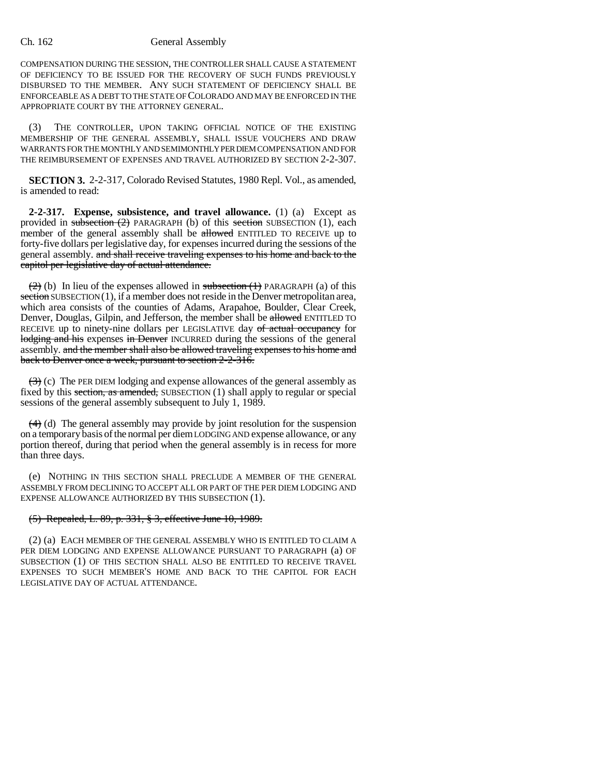#### Ch. 162 General Assembly

COMPENSATION DURING THE SESSION, THE CONTROLLER SHALL CAUSE A STATEMENT OF DEFICIENCY TO BE ISSUED FOR THE RECOVERY OF SUCH FUNDS PREVIOUSLY DISBURSED TO THE MEMBER. ANY SUCH STATEMENT OF DEFICIENCY SHALL BE ENFORCEABLE AS A DEBT TO THE STATE OF COLORADO AND MAY BE ENFORCED IN THE APPROPRIATE COURT BY THE ATTORNEY GENERAL.

(3) THE CONTROLLER, UPON TAKING OFFICIAL NOTICE OF THE EXISTING MEMBERSHIP OF THE GENERAL ASSEMBLY, SHALL ISSUE VOUCHERS AND DRAW WARRANTS FOR THE MONTHLY AND SEMIMONTHLY PER DIEM COMPENSATION AND FOR THE REIMBURSEMENT OF EXPENSES AND TRAVEL AUTHORIZED BY SECTION 2-2-307.

**SECTION 3.** 2-2-317, Colorado Revised Statutes, 1980 Repl. Vol., as amended, is amended to read:

**2-2-317. Expense, subsistence, and travel allowance.** (1) (a) Except as provided in subsection  $(2)$  PARAGRAPH (b) of this section SUBSECTION (1), each member of the general assembly shall be allowed ENTITLED TO RECEIVE up to forty-five dollars per legislative day, for expenses incurred during the sessions of the general assembly. and shall receive traveling expenses to his home and back to the capitol per legislative day of actual attendance.

 $(2)$  (b) In lieu of the expenses allowed in subsection  $(1)$  PARAGRAPH (a) of this section SUBSECTION (1), if a member does not reside in the Denver metropolitan area, which area consists of the counties of Adams, Arapahoe, Boulder, Clear Creek, Denver, Douglas, Gilpin, and Jefferson, the member shall be allowed ENTITLED TO RECEIVE up to ninety-nine dollars per LEGISLATIVE day of actual occupancy for lodging and his expenses in Denver INCURRED during the sessions of the general assembly. and the member shall also be allowed traveling expenses to his home and back to Denver once a week, pursuant to section 2-2-316.

 $(3)$  (c) The PER DIEM lodging and expense allowances of the general assembly as fixed by this section, as amended, SUBSECTION  $(1)$  shall apply to regular or special sessions of the general assembly subsequent to July 1, 1989.

 $(4)$  (d) The general assembly may provide by joint resolution for the suspension on a temporary basis of the normal per diem LODGING AND expense allowance, or any portion thereof, during that period when the general assembly is in recess for more than three days.

(e) NOTHING IN THIS SECTION SHALL PRECLUDE A MEMBER OF THE GENERAL ASSEMBLY FROM DECLINING TO ACCEPT ALL OR PART OF THE PER DIEM LODGING AND EXPENSE ALLOWANCE AUTHORIZED BY THIS SUBSECTION (1).

### (5) Repealed, L. 89, p. 331, § 3, effective June 10, 1989.

(2) (a) EACH MEMBER OF THE GENERAL ASSEMBLY WHO IS ENTITLED TO CLAIM A PER DIEM LODGING AND EXPENSE ALLOWANCE PURSUANT TO PARAGRAPH (a) OF SUBSECTION (1) OF THIS SECTION SHALL ALSO BE ENTITLED TO RECEIVE TRAVEL EXPENSES TO SUCH MEMBER'S HOME AND BACK TO THE CAPITOL FOR EACH LEGISLATIVE DAY OF ACTUAL ATTENDANCE.